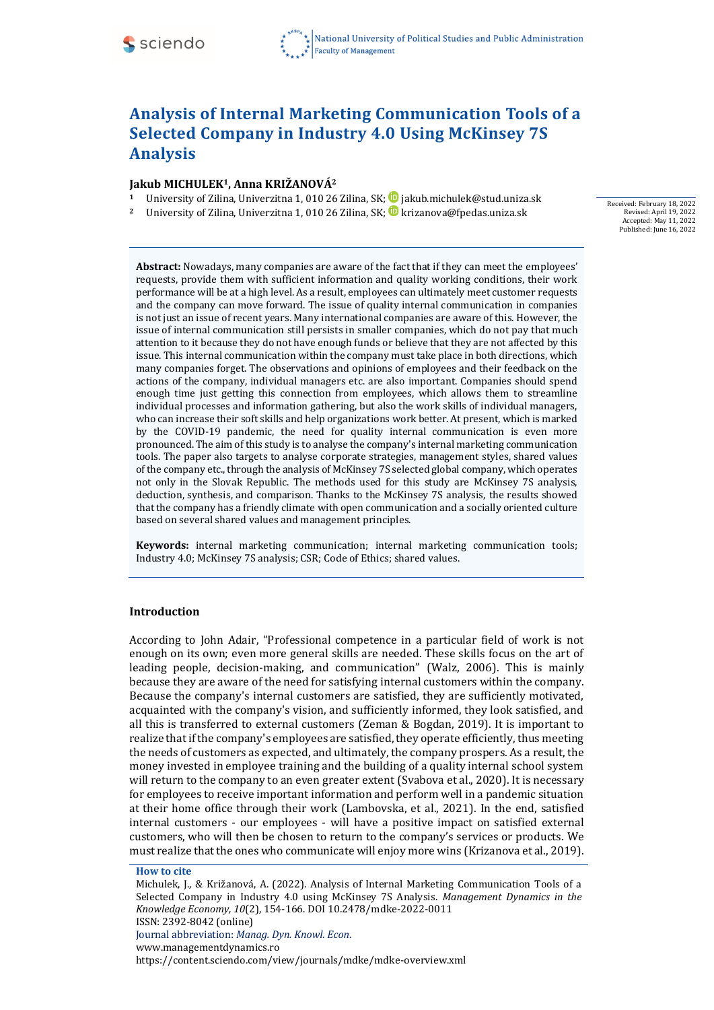# **Analysis of Internal Marketing Communication Tools of a Selected Company in Industry 4.0 Using McKinsey 7S Analysis**

## **Jakub MICHULEK1, Anna KRIŽANOVÁ<sup>2</sup>**

- 1 University of Zilina, Univerzitna 1, 010 26 Zilina, SK; **D** jakub.michulek@stud.uniza.sk
- University of Zilina, Univerzitna 1, 010 26 Zilina, SK; **D** krizanova@fpedas.uniza.sk

Received: February 18, 2022 Revised: April 19, 2022 Accepted: May 11, 2022 Published: June 16, 2022

**Abstract:** Nowadays, many companies are aware of the fact that if they can meet the employees' requests, provide them with sufficient information and quality working conditions, their work performance will be at a high level. As a result, employees can ultimately meet customer requests and the company can move forward. The issue of quality internal communication in companies is not just an issue of recent years. Many international companies are aware of this. However, the issue of internal communication still persists in smaller companies, which do not pay that much attention to it because they do not have enough funds or believe that they are not affected by this issue. This internal communication within the company must take place in both directions, which many companies forget. The observations and opinions of employees and their feedback on the actions of the company, individual managers etc. are also important. Companies should spend enough time just getting this connection from employees, which allows them to streamline individual processes and information gathering, but also the work skills of individual managers, who can increase their soft skills and help organizations work better. At present, which is marked by the COVID-19 pandemic, the need for quality internal communication is even more pronounced. The aim of this study is to analyse the company's internal marketing communication tools. The paper also targets to analyse corporate strategies, management styles, shared values of the company etc., through the analysis of McKinsey 7S selected global company, which operates not only in the Slovak Republic. The methods used for this study are McKinsey 7S analysis, deduction, synthesis, and comparison. Thanks to the McKinsey 7S analysis, the results showed that the company has a friendly climate with open communication and a socially oriented culture based on several shared values and management principles.

**Keywords:** internal marketing communication; internal marketing communication tools; Industry 4.0; McKinsey 7S analysis; CSR; Code of Ethics; shared values.

## **Introduction**

According to John Adair, "Professional competence in a particular field of work is not enough on its own; even more general skills are needed. These skills focus on the art of leading people, decision-making, and communication" (Walz, 2006). This is mainly because they are aware of the need for satisfying internal customers within the company. Because the company's internal customers are satisfied, they are sufficiently motivated, acquainted with the company's vision, and sufficiently informed, they look satisfied, and all this is transferred to external customers (Zeman & Bogdan, 2019). It is important to realize that if the company's employees are satisfied, they operate efficiently, thus meeting the needs of customers as expected, and ultimately, the company prospers. As a result, the money invested in employee training and the building of a quality internal school system will return to the company to an even greater extent (Svabova et al., 2020). It is necessary for employees to receive important information and perform well in a pandemic situation at their home office through their work (Lambovska, et al., 2021). In the end, satisfied internal customers - our employees - will have a positive impact on satisfied external customers, who will then be chosen to return to the company's services or products. We must realize thatthe ones who communicate will enjoy more wins (Krizanova et al., 2019).

#### **How to cite**

Michulek, J., & Križanová, A. (2022). Analysis of Internal Marketing Communication Tools of a Selected Company in Industry 4.0 using McKinsey 7S Analysis. *Management Dynamics in the Knowledge Economy, 10*(2), 154-166. DOI 10.2478/mdke-2022-0011 ISSN: 2392-8042 (online) Journal abbreviation: *Manag. Dyn. Knowl. Econ*. [www.managementdynamics.ro](http://www.managementdynamics.ro/) <https://content.sciendo.com/view/journals/mdke/mdke-overview.xml>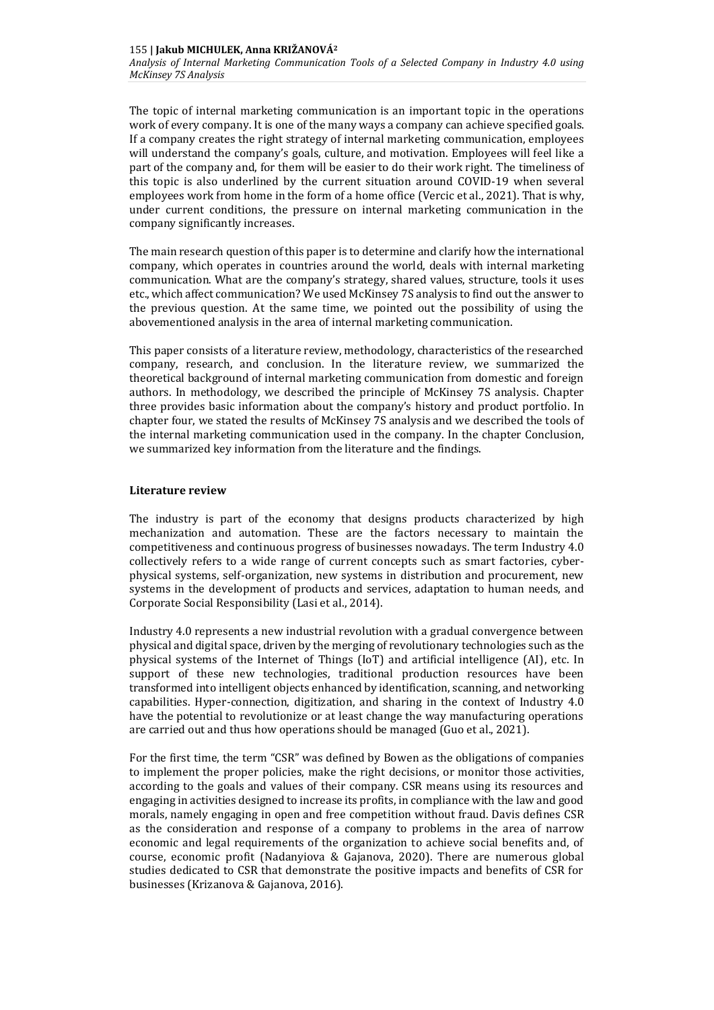The topic of internal marketing communication is an important topic in the operations work of every company. It is one of the many ways a company can achieve specified goals. If a company creates the right strategy of internal marketing communication, employees will understand the company's goals, culture, and motivation. Employees will feel like a part of the company and, for them will be easier to do their work right. The timeliness of this topic is also underlined by the current situation around COVID-19 when several employees work from home in the form of a home office (Vercic et al., 2021). That is why, under current conditions, the pressure on internal marketing communication in the company significantly increases.

The main research question of this paper is to determine and clarify how the international company, which operates in countries around the world, deals with internal marketing communication. What are the company's strategy, shared values, structure, tools it uses etc., which affect communication? We used McKinsey 7S analysis to find out the answer to the previous question. At the same time, we pointed out the possibility of using the abovementioned analysis in the area of internal marketing communication.

This paper consists of a literature review, methodology, characteristics of the researched company, research, and conclusion. In the literature review, we summarized the theoretical background of internal marketing communication from domestic and foreign authors. In methodology, we described the principle of McKinsey 7S analysis. Chapter three provides basic information about the company's history and product portfolio. In chapter four, we stated the results of McKinsey 7S analysis and we described the tools of the internal marketing communication used in the company. In the chapter Conclusion, we summarized key information from the literature and the findings.

#### **Literature review**

The industry is part of the economy that designs products characterized by high mechanization and automation. These are the factors necessary to maintain the competitiveness and continuous progress of businesses nowadays. The term Industry 4.0 collectively refers to a wide range of current concepts such as smart factories, cyberphysical systems, self-organization, new systems in distribution and procurement, new systems in the development of products and services, adaptation to human needs, and Corporate Social Responsibility (Lasi et al., 2014).

Industry 4.0 represents a new industrial revolution with a gradual convergence between physical and digital space, driven by the merging of revolutionary technologies such as the physical systems of the Internet of Things (IoT) and artificial intelligence (AI), etc. In support of these new technologies, traditional production resources have been transformed into intelligent objects enhanced by identification, scanning, and networking capabilities. Hyper-connection, digitization, and sharing in the context of Industry 4.0 have the potential to revolutionize or at least change the way manufacturing operations are carried out and thus how operations should be managed (Guo et al., 2021).

For the first time, the term "CSR" was defined by Bowen as the obligations of companies to implement the proper policies, make the right decisions, or monitor those activities, according to the goals and values of their company. CSR means using its resources and engaging in activities designed to increase its profits, in compliance with the law and good morals, namely engaging in open and free competition without fraud. Davis defines CSR as the consideration and response of a company to problems in the area of narrow economic and legal requirements of the organization to achieve social benefits and, of course, economic profit (Nadanyiova & Gajanova, 2020). There are numerous global studies dedicated to CSR that demonstrate the positive impacts and benefits of CSR for businesses (Krizanova & Gajanova, 2016).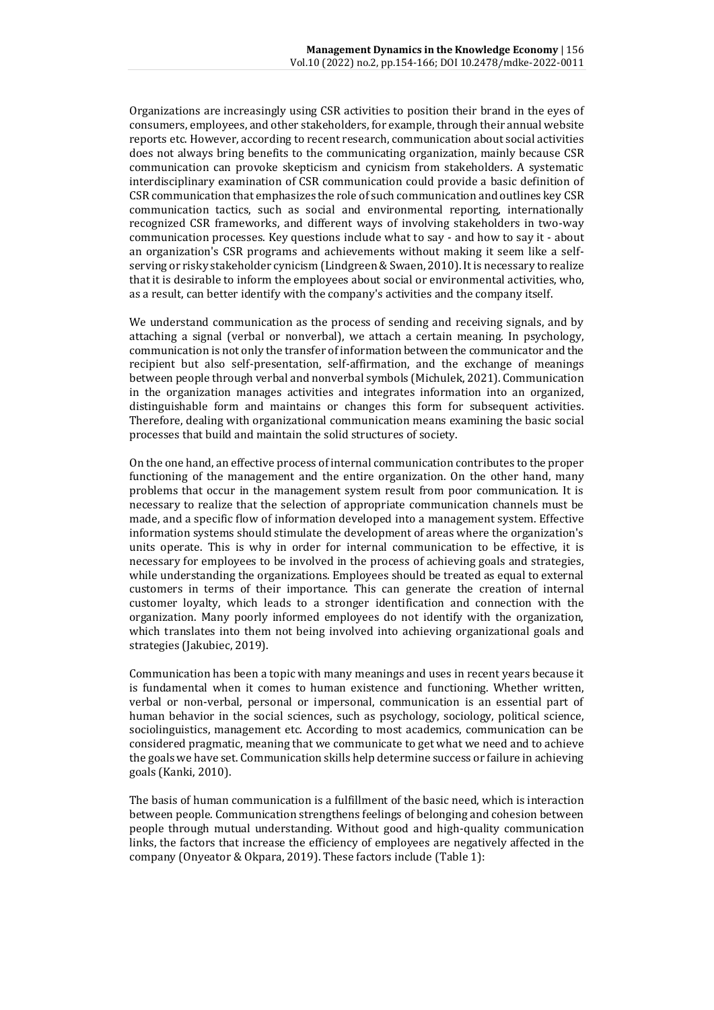Organizations are increasingly using CSR activities to position their brand in the eyes of consumers, employees, and other stakeholders, for example, through their annual website reports etc. However, according to recent research, communication about social activities does not always bring benefits to the communicating organization, mainly because CSR communication can provoke skepticism and cynicism from stakeholders. A systematic interdisciplinary examination of CSR communication could provide a basic definition of CSR communication that emphasizes the role of such communication and outlines key CSR communication tactics, such as social and environmental reporting, internationally recognized CSR frameworks, and different ways of involving stakeholders in two-way communication processes. Key questions include what to say - and how to say it - about an organization's CSR programs and achievements without making it seem like a selfserving or risky stakeholder cynicism (Lindgreen & Swaen, 2010). It is necessary to realize that it is desirable to inform the employees about social or environmental activities, who, as a result, can better identify with the company's activities and the company itself.

We understand communication as the process of sending and receiving signals, and by attaching a signal (verbal or nonverbal), we attach a certain meaning. In psychology, communication is not only the transfer of information between the communicator and the recipient but also self-presentation, self-affirmation, and the exchange of meanings between people through verbal and nonverbal symbols (Michulek, 2021). Communication in the organization manages activities and integrates information into an organized, distinguishable form and maintains or changes this form for subsequent activities. Therefore, dealing with organizational communication means examining the basic social processes that build and maintain the solid structures of society.

On the one hand, an effective process of internal communication contributes to the proper functioning of the management and the entire organization. On the other hand, many problems that occur in the management system result from poor communication. It is necessary to realize that the selection of appropriate communication channels must be made, and a specific flow of information developed into a management system. Effective information systems should stimulate the development of areas where the organization's units operate. This is why in order for internal communication to be effective, it is necessary for employees to be involved in the process of achieving goals and strategies, while understanding the organizations. Employees should be treated as equal to external customers in terms of their importance. This can generate the creation of internal customer loyalty, which leads to a stronger identification and connection with the organization. Many poorly informed employees do not identify with the organization, which translates into them not being involved into achieving organizational goals and strategies (Jakubiec, 2019).

Communication has been a topic with many meanings and uses in recent years because it is fundamental when it comes to human existence and functioning. Whether written, verbal or non-verbal, personal or impersonal, communication is an essential part of human behavior in the social sciences, such as psychology, sociology, political science, sociolinguistics, management etc. According to most academics, communication can be considered pragmatic, meaning that we communicate to get what we need and to achieve the goals we have set. Communication skills help determine success or failure in achieving goals (Kanki, 2010).

The basis of human communication is a fulfillment of the basic need, which is interaction between people. Communication strengthens feelings of belonging and cohesion between people through mutual understanding. Without good and high-quality communication links, the factors that increase the efficiency of employees are negatively affected in the company (Onyeator & Okpara, 2019). These factors include (Table 1):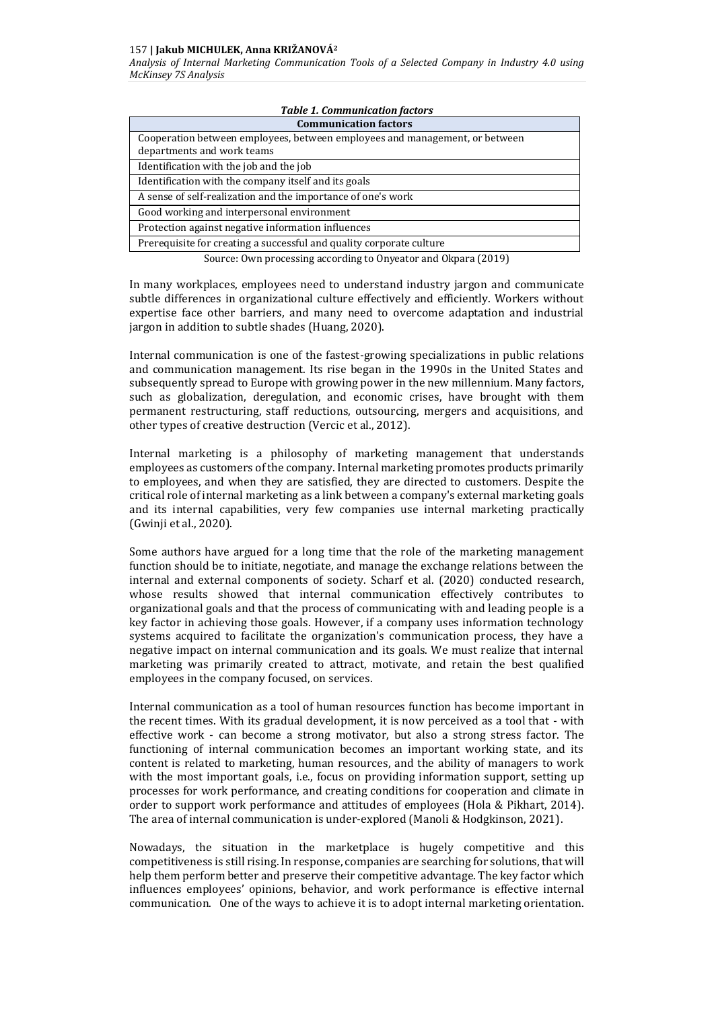#### 157 **| Jakub MICHULEK, Anna KRIŽANOVÁ<sup>2</sup>**

*Analysis of Internal Marketing Communication Tools of a Selected Company in Industry 4.0 using McKinsey 7S Analysis*

| <b>Table 1. Communication factors</b>                                                                     |
|-----------------------------------------------------------------------------------------------------------|
| <b>Communication factors</b>                                                                              |
| Cooperation between employees, between employees and management, or between<br>departments and work teams |
| Identification with the job and the job                                                                   |
| Identification with the company itself and its goals                                                      |
| A sense of self-realization and the importance of one's work                                              |
| Good working and interpersonal environment                                                                |
| Protection against negative information influences                                                        |
| Prerequisite for creating a successful and quality corporate culture                                      |

Source: Own processing according to Onyeator and Okpara (2019)

In many workplaces, employees need to understand industry jargon and communicate subtle differences in organizational culture effectively and efficiently. Workers without expertise face other barriers, and many need to overcome adaptation and industrial jargon in addition to subtle shades (Huang, 2020).

Internal communication is one of the fastest-growing specializations in public relations and communication management. Its rise began in the 1990s in the United States and subsequently spread to Europe with growing power in the new millennium. Many factors, such as globalization, deregulation, and economic crises, have brought with them permanent restructuring, staff reductions, outsourcing, mergers and acquisitions, and other types of creative destruction (Vercic et al., 2012).

Internal marketing is a philosophy of marketing management that understands employees as customers of the company. Internal marketing promotes products primarily to employees, and when they are satisfied, they are directed to customers. Despite the critical role of internal marketing as a link between a company's external marketing goals and its internal capabilities, very few companies use internal marketing practically (Gwinji et al., 2020).

Some authors have argued for a long time that the role of the marketing management function should be to initiate, negotiate, and manage the exchange relations between the internal and external components of society. Scharf et al. (2020) conducted research, whose results showed that internal communication effectively contributes to organizational goals and that the process of communicating with and leading people is a key factor in achieving those goals. However, if a company uses information technology systems acquired to facilitate the organization's communication process, they have a negative impact on internal communication and its goals. We must realize that internal marketing was primarily created to attract, motivate, and retain the best qualified employees in the company focused, on services.

Internal communication as a tool of human resources function has become important in the recent times. With its gradual development, it is now perceived as a tool that - with effective work - can become a strong motivator, but also a strong stress factor. The functioning of internal communication becomes an important working state, and its content is related to marketing, human resources, and the ability of managers to work with the most important goals, i.e., focus on providing information support, setting up processes for work performance, and creating conditions for cooperation and climate in order to support work performance and attitudes of employees (Hola & Pikhart, 2014). The area of internal communication is under-explored (Manoli & Hodgkinson, 2021).

Nowadays, the situation in the marketplace is hugely competitive and this competitiveness is still rising. In response, companies are searching for solutions, that will help them perform better and preserve their competitive advantage. The key factor which influences employees' opinions, behavior, and work performance is effective internal communication. One of the ways to achieve it is to adopt internal marketing orientation.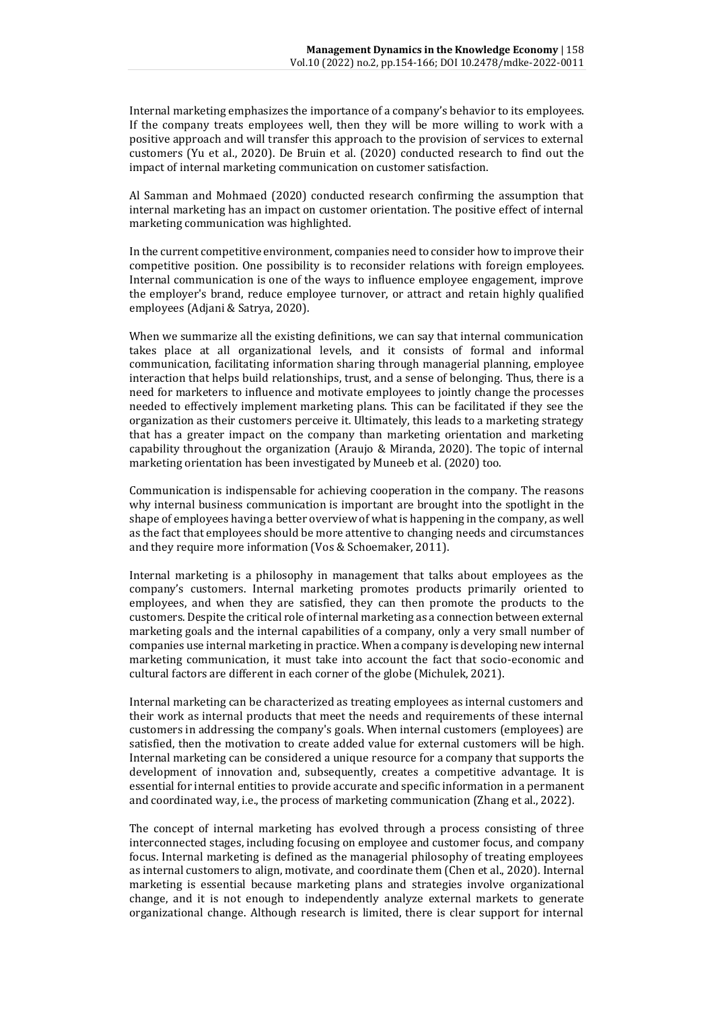Internal marketing emphasizes the importance of a company's behavior to its employees. If the company treats employees well, then they will be more willing to work with a positive approach and will transfer this approach to the provision of services to external customers (Yu et al., 2020). De Bruin et al. (2020) conducted research to find out the impact of internal marketing communication on customer satisfaction.

Al Samman and Mohmaed (2020) conducted research confirming the assumption that internal marketing has an impact on customer orientation. The positive effect of internal marketing communication was highlighted.

In the current competitive environment, companies need to consider how to improve their competitive position. One possibility is to reconsider relations with foreign employees. Internal communication is one of the ways to influence employee engagement, improve the employer's brand, reduce employee turnover, or attract and retain highly qualified employees (Adjani & Satrya, 2020).

When we summarize all the existing definitions, we can say that internal communication takes place at all organizational levels, and it consists of formal and informal communication, facilitating information sharing through managerial planning, employee interaction that helps build relationships, trust, and a sense of belonging. Thus, there is a need for marketers to influence and motivate employees to jointly change the processes needed to effectively implement marketing plans. This can be facilitated if they see the organization as their customers perceive it. Ultimately, this leads to a marketing strategy that has a greater impact on the company than marketing orientation and marketing capability throughout the organization (Araujo & Miranda, 2020). The topic of internal marketing orientation has been investigated by Muneeb et al. (2020) too.

Communication is indispensable for achieving cooperation in the company. The reasons why internal business communication is important are brought into the spotlight in the shape of employees having a better overview of what is happening in the company, as well as the fact that employees should be more attentive to changing needs and circumstances and they require more information (Vos & Schoemaker, 2011).

Internal marketing is a philosophy in management that talks about employees as the company's customers. Internal marketing promotes products primarily oriented to employees, and when they are satisfied, they can then promote the products to the customers. Despite the critical role of internal marketing as a connection between external marketing goals and the internal capabilities of a company, only a very small number of companies use internal marketing in practice. When a company is developing new internal marketing communication, it must take into account the fact that socio-economic and cultural factors are different in each corner of the globe (Michulek, 2021).

Internal marketing can be characterized as treating employees as internal customers and their work as internal products that meet the needs and requirements of these internal customers in addressing the company's goals. When internal customers (employees) are satisfied, then the motivation to create added value for external customers will be high. Internal marketing can be considered a unique resource for a company that supports the development of innovation and, subsequently, creates a competitive advantage. It is essential for internal entities to provide accurate and specific information in a permanent and coordinated way, i.e., the process of marketing communication (Zhang et al., 2022).

The concept of internal marketing has evolved through a process consisting of three interconnected stages, including focusing on employee and customer focus, and company focus. Internal marketing is defined as the managerial philosophy of treating employees as internal customers to align, motivate, and coordinate them (Chen et al., 2020). Internal marketing is essential because marketing plans and strategies involve organizational change, and it is not enough to independently analyze external markets to generate organizational change. Although research is limited, there is clear support for internal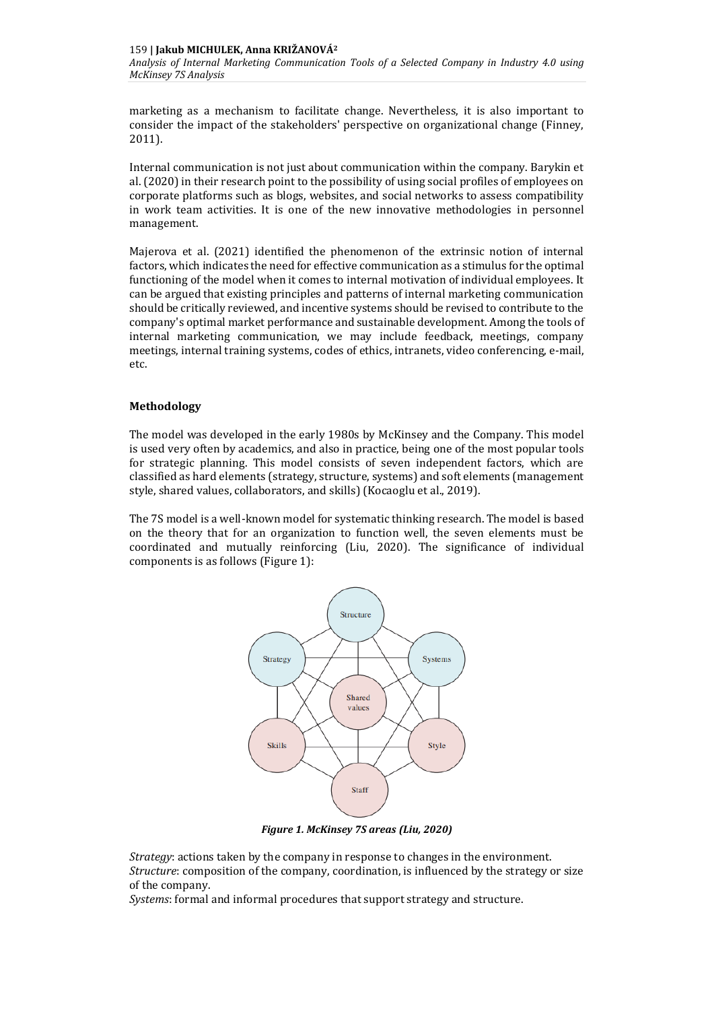marketing as a mechanism to facilitate change. Nevertheless, it is also important to consider the impact of the stakeholders' perspective on organizational change (Finney, 2011).

Internal communication is not just about communication within the company. Barykin et al. (2020) in their research point to the possibility of using social profiles of employees on corporate platforms such as blogs, websites, and social networks to assess compatibility in work team activities. It is one of the new innovative methodologies in personnel management.

Majerova et al. (2021) identified the phenomenon of the extrinsic notion of internal factors, which indicates the need for effective communication as a stimulus for the optimal functioning of the model when it comes to internal motivation of individual employees. It can be argued that existing principles and patterns of internal marketing communication should be critically reviewed, and incentive systems should be revised to contribute to the company's optimal market performance and sustainable development. Among the tools of internal marketing communication, we may include feedback, meetings, company meetings, internal training systems, codes of ethics, intranets, video conferencing, e-mail, etc.

## **Methodology**

The model was developed in the early 1980s by McKinsey and the Company. This model is used very often by academics, and also in practice, being one of the most popular tools for strategic planning. This model consists of seven independent factors, which are classified as hard elements (strategy, structure, systems) and soft elements (management style, shared values, collaborators, and skills) (Kocaoglu et al., 2019).

The 7S model is a well-known model for systematic thinking research. The model is based on the theory that for an organization to function well, the seven elements must be coordinated and mutually reinforcing (Liu, 2020). The significance of individual components is as follows (Figure 1):



*Figure 1. McKinsey 7S areas (Liu, 2020)*

*Strategy*: actions taken by the company in response to changes in the environment. *Structure*: composition of the company, coordination, is influenced by the strategy or size of the company.

*Systems*: formal and informal procedures that support strategy and structure.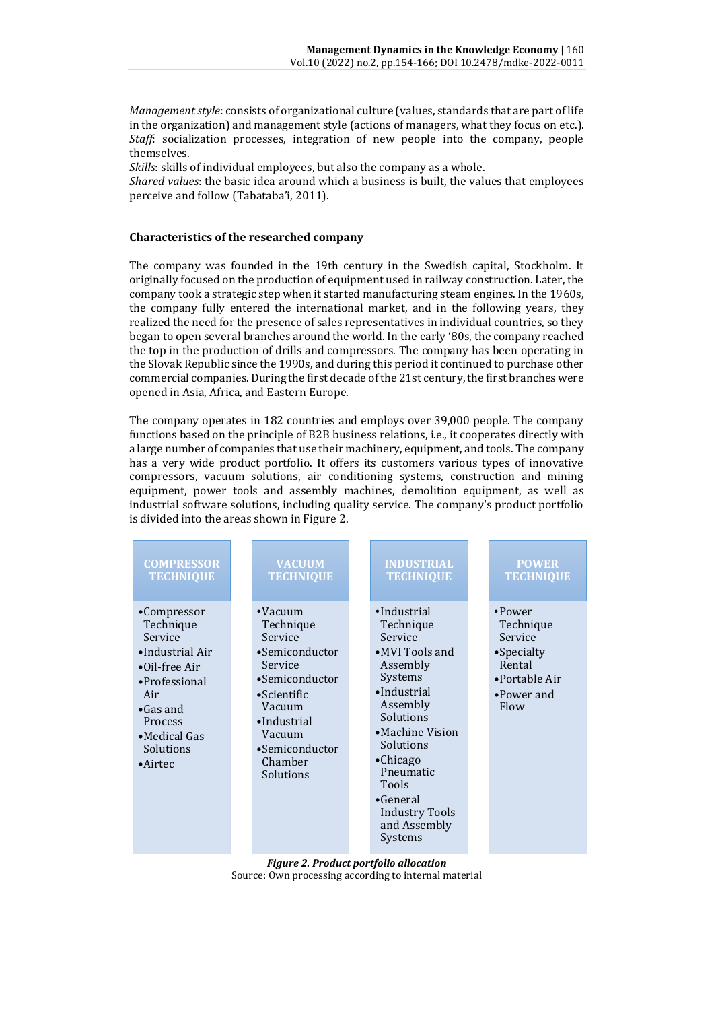*Managementstyle*: consists of organizational culture (values, standards that are part of life in the organization) and management style (actions of managers, what they focus on etc.). *Staff*: socialization processes, integration of new people into the company, people themselves.

*Skills*: skills of individual employees, but also the company as a whole.

*Shared values*: the basic idea around which a business is built, the values that employees perceive and follow (Tabataba'i, 2011).

## **Characteristics of the researched company**

The company was founded in the 19th century in the Swedish capital, Stockholm. It originally focused on the production of equipment used in railway construction. Later, the company took a strategic step when it started manufacturing steam engines. In the 1960s, the company fully entered the international market, and in the following years, they realized the need for the presence of sales representatives in individual countries, so they began to open several branches around the world. In the early '80s, the company reached the top in the production of drills and compressors. The company has been operating in the Slovak Republic since the 1990s, and during this period it continued to purchase other commercial companies. During the first decade of the 21st century, the first branches were opened in Asia, Africa, and Eastern Europe.

The company operates in 182 countries and employs over 39,000 people. The company functions based on the principle of B2B business relations, i.e., it cooperates directly with a large number of companies that use their machinery, equipment, and tools. The company has a very wide product portfolio. It offers its customers various types of innovative compressors, vacuum solutions, air conditioning systems, construction and mining equipment, power tools and assembly machines, demolition equipment, as well as industrial software solutions, including quality service. The company's product portfolio is divided into the areas shown in Figure 2.



*Figure 2. Product portfolio allocation* Source: Own processing according to internal material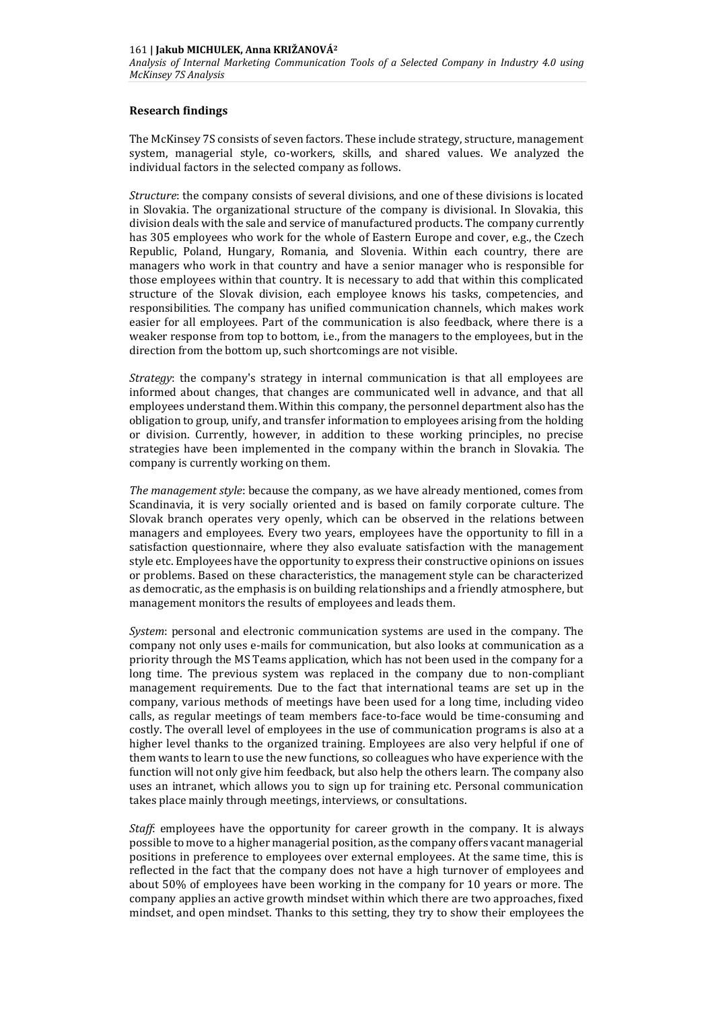## **Research findings**

The McKinsey 7S consists of seven factors. These include strategy, structure, management system, managerial style, co-workers, skills, and shared values. We analyzed the individual factors in the selected company as follows.

*Structure*: the company consists of several divisions, and one of these divisions is located in Slovakia. The organizational structure of the company is divisional. In Slovakia, this division deals with the sale and service of manufactured products. The company currently has 305 employees who work for the whole of Eastern Europe and cover, e.g., the Czech Republic, Poland, Hungary, Romania, and Slovenia. Within each country, there are managers who work in that country and have a senior manager who is responsible for those employees within that country. It is necessary to add that within this complicated structure of the Slovak division, each employee knows his tasks, competencies, and responsibilities. The company has unified communication channels, which makes work easier for all employees. Part of the communication is also feedback, where there is a weaker response from top to bottom, i.e., from the managers to the employees, but in the direction from the bottom up, such shortcomings are not visible.

*Strategy*: the company's strategy in internal communication is that all employees are informed about changes, that changes are communicated well in advance, and that all employees understand them. Within this company, the personnel department also has the obligation to group, unify, and transfer information to employees arising from the holding or division. Currently, however, in addition to these working principles, no precise strategies have been implemented in the company within the branch in Slovakia. The company is currently working on them.

*The management style*: because the company, as we have already mentioned, comes from Scandinavia, it is very socially oriented and is based on family corporate culture. The Slovak branch operates very openly, which can be observed in the relations between managers and employees. Every two years, employees have the opportunity to fill in a satisfaction questionnaire, where they also evaluate satisfaction with the management style etc. Employees have the opportunity to express their constructive opinions on issues or problems. Based on these characteristics, the management style can be characterized as democratic, as the emphasis is on building relationships and a friendly atmosphere, but management monitors the results of employees and leads them.

*System*: personal and electronic communication systems are used in the company. The company not only uses e-mails for communication, but also looks at communication as a priority through the MS Teams application, which has not been used in the company for a long time. The previous system was replaced in the company due to non-compliant management requirements. Due to the fact that international teams are set up in the company, various methods of meetings have been used for a long time, including video calls, as regular meetings of team members face-to-face would be time-consuming and costly. The overall level of employees in the use of communication programs is also at a higher level thanks to the organized training. Employees are also very helpful if one of them wants to learn to use the new functions, so colleagues who have experience with the function will not only give him feedback, but also help the others learn. The company also uses an intranet, which allows you to sign up for training etc. Personal communication takes place mainly through meetings, interviews, or consultations.

*Staff*: employees have the opportunity for career growth in the company. It is always possible to move to a higher managerial position, as the company offers vacant managerial positions in preference to employees over external employees. At the same time, this is reflected in the fact that the company does not have a high turnover of employees and about 50% of employees have been working in the company for 10 years or more. The company applies an active growth mindset within which there are two approaches, fixed mindset, and open mindset. Thanks to this setting, they try to show their employees the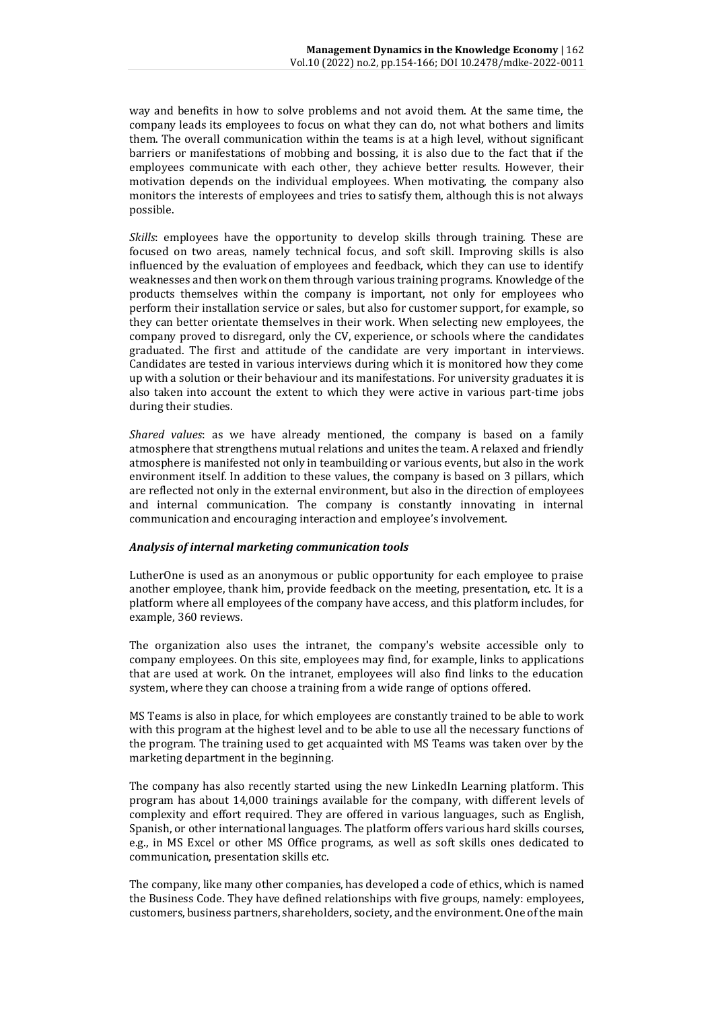way and benefits in how to solve problems and not avoid them. At the same time, the company leads its employees to focus on what they can do, not what bothers and limits them. The overall communication within the teams is at a high level, without significant barriers or manifestations of mobbing and bossing, it is also due to the fact that if the employees communicate with each other, they achieve better results. However, their motivation depends on the individual employees. When motivating, the company also monitors the interests of employees and tries to satisfy them, although this is not always possible.

*Skills*: employees have the opportunity to develop skills through training. These are focused on two areas, namely technical focus, and soft skill. Improving skills is also influenced by the evaluation of employees and feedback, which they can use to identify weaknesses and then work on them through various training programs. Knowledge of the products themselves within the company is important, not only for employees who perform their installation service or sales, but also for customer support, for example, so they can better orientate themselves in their work. When selecting new employees, the company proved to disregard, only the CV, experience, or schools where the candidates graduated. The first and attitude of the candidate are very important in interviews. Candidates are tested in various interviews during which it is monitored how they come up with a solution or their behaviour and its manifestations. For university graduates it is also taken into account the extent to which they were active in various part-time jobs during their studies.

*Shared values*: as we have already mentioned, the company is based on a family atmosphere that strengthens mutual relations and unites the team. A relaxed and friendly atmosphere is manifested not only in teambuilding or various events, but also in the work environment itself. In addition to these values, the company is based on 3 pillars, which are reflected not only in the external environment, but also in the direction of employees and internal communication. The company is constantly innovating in internal communication and encouraging interaction and employee's involvement.

## *Analysis of internal marketing communication tools*

LutherOne is used as an anonymous or public opportunity for each employee to praise another employee, thank him, provide feedback on the meeting, presentation, etc. It is a platform where all employees of the company have access, and this platform includes, for example, 360 reviews.

The organization also uses the intranet, the company's website accessible only to company employees. On this site, employees may find, for example, links to applications that are used at work. On the intranet, employees will also find links to the education system, where they can choose a training from a wide range of options offered.

MS Teams is also in place, for which employees are constantly trained to be able to work with this program at the highest level and to be able to use all the necessary functions of the program. The training used to get acquainted with MS Teams was taken over by the marketing department in the beginning.

The company has also recently started using the new LinkedIn Learning platform. This program has about 14,000 trainings available for the company, with different levels of complexity and effort required. They are offered in various languages, such as English, Spanish, or other international languages. The platform offers various hard skills courses, e.g., in MS Excel or other MS Office programs, as well as soft skills ones dedicated to communication, presentation skills etc.

The company, like many other companies, has developed a code of ethics, which is named the Business Code. They have defined relationships with five groups, namely: employees, customers, business partners, shareholders, society, and the environment. One of the main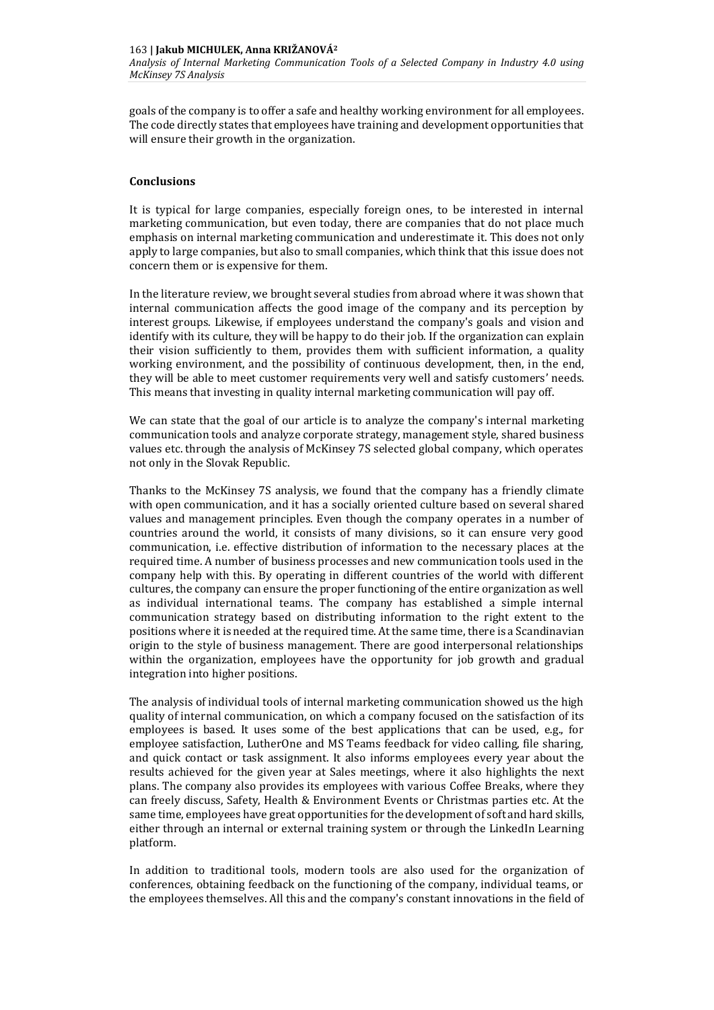goals of the company is to offer a safe and healthy working environment for all employees. The code directly states that employees have training and development opportunities that will ensure their growth in the organization.

## **Conclusions**

It is typical for large companies, especially foreign ones, to be interested in internal marketing communication, but even today, there are companies that do not place much emphasis on internal marketing communication and underestimate it. This does not only apply to large companies, but also to small companies, which think that this issue does not concern them or is expensive for them.

In the literature review, we brought several studies from abroad where it was shown that internal communication affects the good image of the company and its perception by interest groups. Likewise, if employees understand the company's goals and vision and identify with its culture, they will be happy to do their job. If the organization can explain their vision sufficiently to them, provides them with sufficient information, a quality working environment, and the possibility of continuous development, then, in the end, they will be able to meet customer requirements very well and satisfy customers' needs. This means that investing in quality internal marketing communication will pay off.

We can state that the goal of our article is to analyze the company's internal marketing communication tools and analyze corporate strategy, management style, shared business values etc. through the analysis of McKinsey 7S selected global company, which operates not only in the Slovak Republic.

Thanks to the McKinsey 7S analysis, we found that the company has a friendly climate with open communication, and it has a socially oriented culture based on several shared values and management principles. Even though the company operates in a number of countries around the world, it consists of many divisions, so it can ensure very good communication, i.e. effective distribution of information to the necessary places at the required time. A number of business processes and new communication tools used in the company help with this. By operating in different countries of the world with different cultures, the company can ensure the proper functioning of the entire organization as well as individual international teams. The company has established a simple internal communication strategy based on distributing information to the right extent to the positions where it is needed at the required time. At the same time, there is a Scandinavian origin to the style of business management. There are good interpersonal relationships within the organization, employees have the opportunity for job growth and gradual integration into higher positions.

The analysis of individual tools of internal marketing communication showed us the high quality of internal communication, on which a company focused on the satisfaction of its employees is based. It uses some of the best applications that can be used, e.g., for employee satisfaction, LutherOne and MS Teams feedback for video calling, file sharing, and quick contact or task assignment. It also informs employees every year about the results achieved for the given year at Sales meetings, where it also highlights the next plans. The company also provides its employees with various Coffee Breaks, where they can freely discuss, Safety, Health & Environment Events or Christmas parties etc. At the same time, employees have great opportunities for the development of soft and hard skills, either through an internal or external training system or through the LinkedIn Learning platform.

In addition to traditional tools, modern tools are also used for the organization of conferences, obtaining feedback on the functioning of the company, individual teams, or the employees themselves. All this and the company's constant innovations in the field of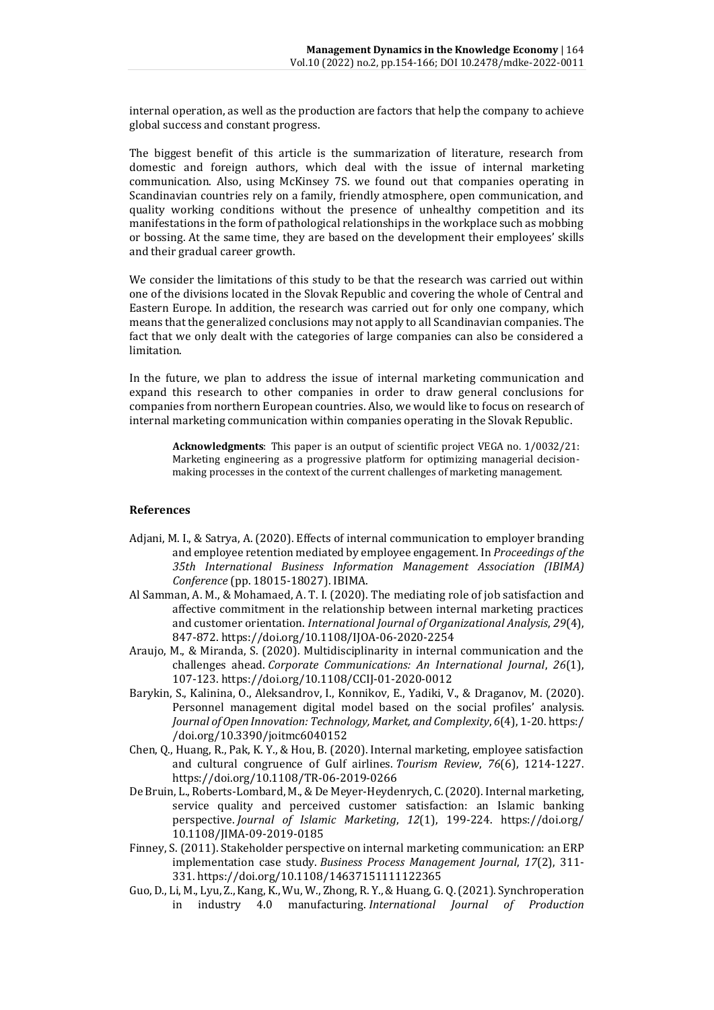internal operation, as well as the production are factors that help the company to achieve global success and constant progress.

The biggest benefit of this article is the summarization of literature, research from domestic and foreign authors, which deal with the issue of internal marketing communication. Also, using McKinsey 7S. we found out that companies operating in Scandinavian countries rely on a family, friendly atmosphere, open communication, and quality working conditions without the presence of unhealthy competition and its manifestations in the form of pathological relationships in the workplace such as mobbing or bossing. At the same time, they are based on the development their employees' skills and their gradual career growth.

We consider the limitations of this study to be that the research was carried out within one of the divisions located in the Slovak Republic and covering the whole of Central and Eastern Europe. In addition, the research was carried out for only one company, which means that the generalized conclusions may not apply to all Scandinavian companies. The fact that we only dealt with the categories of large companies can also be considered a limitation.

In the future, we plan to address the issue of internal marketing communication and expand this research to other companies in order to draw general conclusions for companies from northern European countries. Also, we would like to focus on research of internal marketing communication within companies operating in the Slovak Republic.

**Acknowledgments**: This paper is an output of scientific project VEGA no. 1/0032/21: Marketing engineering as a progressive platform for optimizing managerial decisionmaking processes in the context of the current challenges of marketing management.

#### **References**

- Adjani, M. I., & Satrya, A. (2020). Effects of internal communication to employer branding and employee retention mediated by employee engagement. In *Proceedings of the 35th International Business Information Management Association (IBIMA) Conference* (pp. 18015-18027). IBIMA.
- Al Samman, A. M., & Mohamaed, A. T. I. (2020). The mediating role of job satisfaction and affective commitment in the relationship between internal marketing practices and customer orientation. *International Journal of Organizational Analysis*, *29*(4), 847-872.<https://doi.org/10.1108/IJOA-06-2020-2254>
- Araujo, M., & Miranda, S. (2020). Multidisciplinarity in internal communication and the challenges ahead. *Corporate Communications: An International Journal*, *26*(1), 107-123.<https://doi.org/10.1108/CCIJ-01-2020-0012>
- Barykin, S., Kalinina, O., Aleksandrov, I., Konnikov, E., Yadiki, V., & Draganov, M. (2020). Personnel management digital model based on the social profiles' analysis. *Journal of Open Innovation: Technology, Market, and Complexity*, *6*(4), 1-20[. https:/](https://doi.org/10.3390/joitmc6040152) [/doi.org/10.3390/joitmc6040152](https://doi.org/10.3390/joitmc6040152)
- Chen, Q., Huang, R., Pak, K. Y., & Hou, B. (2020). Internal marketing, employee satisfaction and cultural congruence of Gulf airlines. *Tourism Review*, *76*(6), 1214-1227. <https://doi.org/10.1108/TR-06-2019-0266>
- De Bruin, L., Roberts-Lombard, M., & De Meyer-Heydenrych, C. (2020). Internal marketing, service quality and perceived customer satisfaction: an Islamic banking perspective. *Journal of Islamic Marketing*, *12*(1), 199-224. [https://doi.org/](https://doi.org/10.1108/JIMA-09-2019-0185) [10.1108/JIMA-09-2019-0185](https://doi.org/10.1108/JIMA-09-2019-0185)
- Finney, S. (2011). Stakeholder perspective on internal marketing communication: an ERP implementation case study. *Business Process Management Journal*, *17*(2), 311- 331. <https://doi.org/10.1108/14637151111122365>
- Guo, D., Li, M., Lyu, Z., Kang, K., Wu, W., Zhong, R. Y., & Huang, G. Q. (2021). Synchroperation in industry 4.0 manufacturing. *International Journal of Production*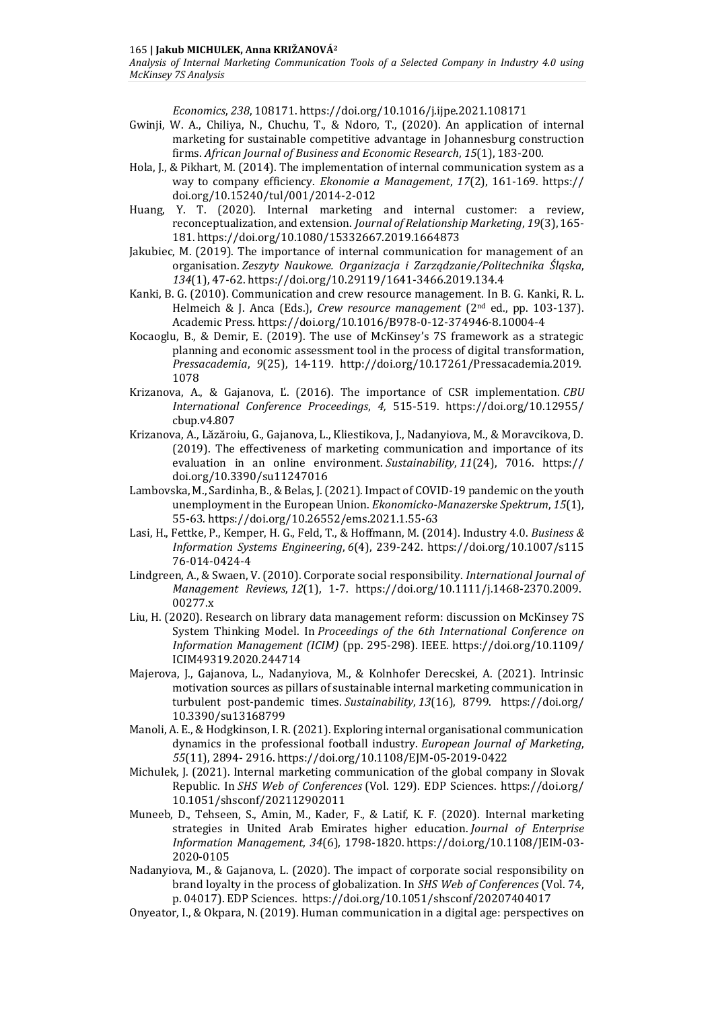*Economics*, *238*, 108171.<https://doi.org/10.1016/j.ijpe.2021.108171>

- Gwinji, W. A., Chiliya, N., Chuchu, T., & Ndoro, T., (2020). An application of internal marketing for sustainable competitive advantage in Johannesburg construction firms. *African Journal of Business and Economic Research*, *15*(1), 183-200.
- Hola, J., & Pikhart, M. (2014). The implementation of internal communication system as a way to company efficiency. *Ekonomie a Management*, *17*(2), 161-169*.* [https://](https://doi.org/10.15240/tul/001/2014-2-012) [doi.org/10.15240/tul/001/2014-2-012](https://doi.org/10.15240/tul/001/2014-2-012)
- Huang, Y. T. (2020). Internal marketing and internal customer: a review, reconceptualization, and extension. *Journal of Relationship Marketing*, *19*(3), 165- 181. <https://doi.org/10.1080/15332667.2019.1664873>
- Jakubiec, M. (2019). The importance of internal communication for management of an organisation. *Zeszyty Naukowe. Organizacja i Zarządzanie/Politechnika Śląska*, *134*(1), 47-62. https://doi.org[/10.29119/1641-3466.2019.134.4](http://dx.doi.org/10.29119/1641-3466.2019.134.4)
- Kanki, B. G. (2010). Communication and crew resource management. In B. G. Kanki, R. L. Helmeich & J. Anca (Eds.), *Crew resource management* (2nd ed., pp. 103-137). Academic Press. <https://doi.org/10.1016/B978-0-12-374946-8.10004-4>
- Kocaoglu, B., & Demir, E. (2019). The use of McKinsey's 7S framework as a strategic planning and economic assessment tool in the process of digital transformation, *Pressacademia*, *9*(25), 14-119. [http://doi.org/10.17261/Pressacademia.2019.](http://‌/‌doi.org/‌10.17261/‌Pressacademia.‌2019.%20‌1078) [1078](http://‌/‌doi.org/‌10.17261/‌Pressacademia.‌2019.%20‌1078)
- Krizanova, A., & Gajanova, Ľ. (2016). The importance of CSR implementation. *CBU International Conference Proceedings*, *4,* 515-519. [https://doi.org/10.12955/](https://doi.org/10.12955/cbup.v4.807) [cbup.v4.807](https://doi.org/10.12955/cbup.v4.807)
- Krizanova, A., Lăzăroiu, G., Gajanova, L., Kliestikova, J., Nadanyiova, M., & Moravcikova, D. (2019). The effectiveness of marketing communication and importance of its evaluation in an online environment. *Sustainability*, *11*(24), 7016. [https://](https://doi.org/10.3390/su11247016) [doi.org/10.3390/su11247016](https://doi.org/10.3390/su11247016)
- Lambovska, M., Sardinha, B., & Belas, J. (2021). Impact of COVID-19 pandemic on the youth unemployment in the European Union. *Ekonomicko-Manazerske Spektrum*, *15*(1), 55-63[. https://doi.org/10.26552/ems.2021.1.55-63](https://doi.org/10.26552/ems.2021.1.55-63)
- Lasi, H., Fettke, P., Kemper, H. G., Feld, T., & Hoffmann, M. (2014). Industry 4.0. *Business & Information Systems Engineering*, *6*(4), 239-242. https://doi.org[/10.1007/s115](https://doi.org/10.1007/s11576-014-0424-4) [76-014-0424-4](https://doi.org/10.1007/s11576-014-0424-4)
- Lindgreen, A., & Swaen, V. (2010). Corporate social responsibility. *International Journal of Management Reviews*, *12*(1), 1-7. [https://doi.org/10.1111/j.1468-2370.2009.](https://doi.org/10.1111/j.1468-2370.2009.00277.x) [00277.x](https://doi.org/10.1111/j.1468-2370.2009.00277.x)
- Liu, H. (2020). Research on library data management reform: discussion on McKinsey 7S System Thinking Model. In *Proceedings of the 6th International Conference on Information Management (ICIM)* (pp. 295-298). IEEE. https://doi.org[/10.1109/](https://doi.org/10.1109/ICIM49319.2020.244714) [ICIM49319.2020.244714](https://doi.org/10.1109/ICIM49319.2020.244714)
- Majerova, J., Gajanova, L., Nadanyiova, M., & Kolnhofer Derecskei, A. (2021). Intrinsic motivation sources as pillars of sustainable internal marketing communication in turbulent post-pandemic times. *Sustainability*, *13*(16), 8799. [https://doi.org/](https://doi.org/10.3390/su13168799) [10.3390/su13168799](https://doi.org/10.3390/su13168799)
- Manoli, A. E., & Hodgkinson, I. R. (2021). Exploring internal organisational communication dynamics in the professional football industry. *European Journal of Marketing*, *55*(11), 2894- 2916[. https://doi.org/10.1108/EJM-05-2019-0422](https://doi.org/10.1108/EJM-05-2019-0422)
- Michulek, J. (2021). Internal marketing communication of the global company in Slovak Republic. In *SHS Web of Conferences* (Vol. 129). EDP Sciences. [https://doi.org/](https://doi.org/10.1051/shsconf/202112902011) [10.1051/shsconf/202112902011](https://doi.org/10.1051/shsconf/202112902011)
- Muneeb, D., Tehseen, S., Amin, M., Kader, F., & Latif, K. F. (2020). Internal marketing strategies in United Arab Emirates higher education. *Journal of Enterprise Information Management*, *34*(6), 1798-1820. [https://doi.org/10.1108/JEIM-03-](https://doi.org/10.1108/JEIM-03-2020-0105) [2020-0105](https://doi.org/10.1108/JEIM-03-2020-0105)
- Nadanyiova, M., & Gajanova, L. (2020). The impact of corporate social responsibility on brand loyalty in the process of globalization. In *SHS Web of Conferences* (Vol. 74, p. 04017). EDP Sciences. <https://doi.org/10.1051/shsconf/20207404017>
- Onyeator, I., & Okpara, N. (2019). Human communication in a digital age: perspectives on